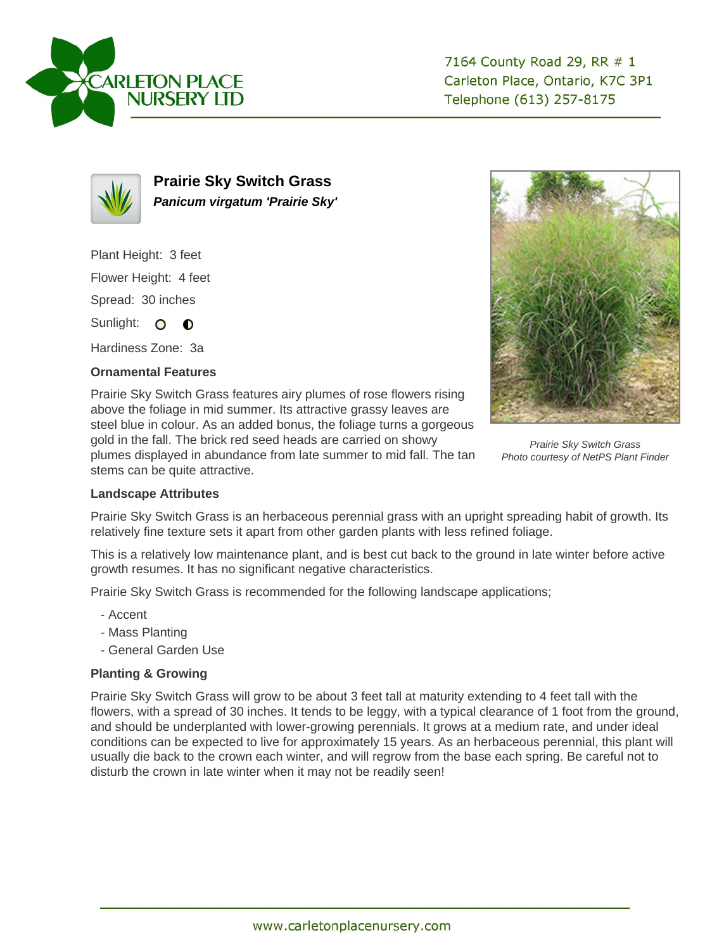



**Prairie Sky Switch Grass Panicum virgatum 'Prairie Sky'**

Plant Height: 3 feet

Flower Height: 4 feet

Spread: 30 inches

Sunlight: O **O** 

Hardiness Zone: 3a

## **Ornamental Features**

Prairie Sky Switch Grass features airy plumes of rose flowers rising above the foliage in mid summer. Its attractive grassy leaves are steel blue in colour. As an added bonus, the foliage turns a gorgeous gold in the fall. The brick red seed heads are carried on showy plumes displayed in abundance from late summer to mid fall. The tan stems can be quite attractive.



Prairie Sky Switch Grass Photo courtesy of NetPS Plant Finder

## **Landscape Attributes**

Prairie Sky Switch Grass is an herbaceous perennial grass with an upright spreading habit of growth. Its relatively fine texture sets it apart from other garden plants with less refined foliage.

This is a relatively low maintenance plant, and is best cut back to the ground in late winter before active growth resumes. It has no significant negative characteristics.

Prairie Sky Switch Grass is recommended for the following landscape applications;

- Accent
- Mass Planting
- General Garden Use

## **Planting & Growing**

Prairie Sky Switch Grass will grow to be about 3 feet tall at maturity extending to 4 feet tall with the flowers, with a spread of 30 inches. It tends to be leggy, with a typical clearance of 1 foot from the ground, and should be underplanted with lower-growing perennials. It grows at a medium rate, and under ideal conditions can be expected to live for approximately 15 years. As an herbaceous perennial, this plant will usually die back to the crown each winter, and will regrow from the base each spring. Be careful not to disturb the crown in late winter when it may not be readily seen!